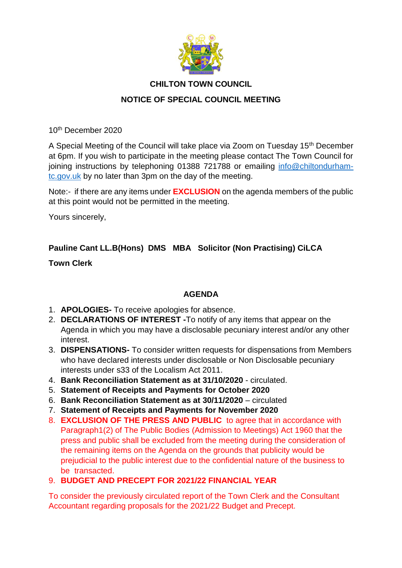

## **CHILTON TOWN COUNCIL**

## **NOTICE OF SPECIAL COUNCIL MEETING**

10th December 2020

A Special Meeting of the Council will take place via Zoom on Tuesday 15<sup>th</sup> December at 6pm. If you wish to participate in the meeting please contact The Town Council for joining instructions by telephoning 01388 721788 or emailing [info@chiltondurham](mailto:info@chiltondurham-tc.gov.uk)[tc.gov.uk](mailto:info@chiltondurham-tc.gov.uk) by no later than 3pm on the day of the meeting.

Note:- if there are any items under **EXCLUSION** on the agenda members of the public at this point would not be permitted in the meeting.

Yours sincerely,

# **Pauline Cant LL.B(Hons) DMS MBA Solicitor (Non Practising) CiLCA**

**Town Clerk**

### **AGENDA**

- 1. **APOLOGIES-** To receive apologies for absence.
- 2. **DECLARATIONS OF INTEREST -**To notify of any items that appear on the Agenda in which you may have a disclosable pecuniary interest and/or any other interest.
- 3. **DISPENSATIONS-** To consider written requests for dispensations from Members who have declared interests under disclosable or Non Disclosable pecuniary interests under s33 of the Localism Act 2011.
- 4. **Bank Reconciliation Statement as at 31/10/2020**  circulated.
- 5. **Statement of Receipts and Payments for October 2020**
- 6. **Bank Reconciliation Statement as at 30/11/2020**  circulated
- 7. **Statement of Receipts and Payments for November 2020**
- 8. **EXCLUSION OF THE PRESS AND PUBLIC** to agree that in accordance with Paragraph1(2) of The Public Bodies (Admission to Meetings) Act 1960 that the press and public shall be excluded from the meeting during the consideration of the remaining items on the Agenda on the grounds that publicity would be prejudicial to the public interest due to the confidential nature of the business to be transacted.

# 9. **BUDGET AND PRECEPT FOR 2021/22 FINANCIAL YEAR**

To consider the previously circulated report of the Town Clerk and the Consultant Accountant regarding proposals for the 2021/22 Budget and Precept.